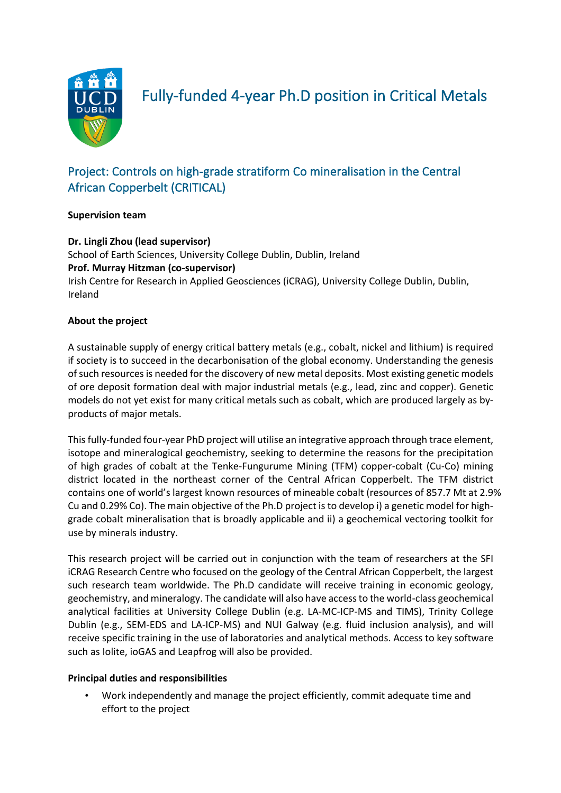

Fully-funded 4-year Ph.D position in Critical Metals

# Project: Controls on high-grade stratiform Co mineralisation in the Central African Copperbelt (CRITICAL)

## **Supervision team**

# **Dr. Lingli Zhou (lead supervisor)**

School of Earth Sciences, University College Dublin, Dublin, Ireland **Prof. Murray Hitzman (co-supervisor)** Irish Centre for Research in Applied Geosciences (iCRAG), University College Dublin, Dublin, Ireland

#### **About the project**

A sustainable supply of energy critical battery metals (e.g., cobalt, nickel and lithium) is required if society is to succeed in the decarbonisation of the global economy. Understanding the genesis of such resources is needed for the discovery of new metal deposits. Most existing genetic models of ore deposit formation deal with major industrial metals (e.g., lead, zinc and copper). Genetic models do not yet exist for many critical metals such as cobalt, which are produced largely as byproducts of major metals.

This fully-funded four-year PhD project will utilise an integrative approach through trace element, isotope and mineralogical geochemistry, seeking to determine the reasons for the precipitation of high grades of cobalt at the Tenke-Fungurume Mining (TFM) copper-cobalt (Cu-Co) mining district located in the northeast corner of the Central African Copperbelt. The TFM district contains one of world's largest known resources of mineable cobalt (resources of 857.7 Mt at 2.9% Cu and 0.29% Co). The main objective of the Ph.D project is to develop i) a genetic model for highgrade cobalt mineralisation that is broadly applicable and ii) a geochemical vectoring toolkit for use by minerals industry.

This research project will be carried out in conjunction with the team of researchers at the SFI iCRAG Research Centre who focused on the geology of the Central African Copperbelt, the largest such research team worldwide. The Ph.D candidate will receive training in economic geology, geochemistry, and mineralogy. The candidate will also have access to the world-class geochemical analytical facilities at University College Dublin (e.g. LA-MC-ICP-MS and TIMS), Trinity College Dublin (e.g., SEM-EDS and LA-ICP-MS) and NUI Galway (e.g. fluid inclusion analysis), and will receive specific training in the use of laboratories and analytical methods. Access to key software such as Iolite, ioGAS and Leapfrog will also be provided.

#### **Principal duties and responsibilities**

• Work independently and manage the project efficiently, commit adequate time and effort to the project